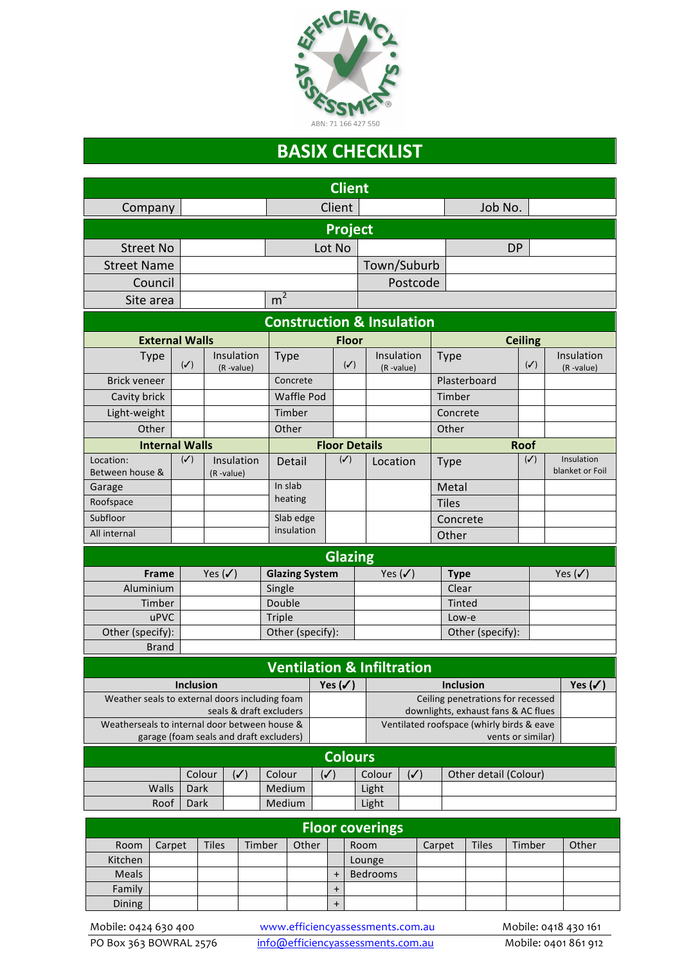

## **BASIX CHECKLIST**

| <b>Client</b>                                                      |                                                                                          |                |                  |                         |                         |                                        |                |                        |                                                                |                                   |                        |                  |        |                         |                    |                               |  |
|--------------------------------------------------------------------|------------------------------------------------------------------------------------------|----------------|------------------|-------------------------|-------------------------|----------------------------------------|----------------|------------------------|----------------------------------------------------------------|-----------------------------------|------------------------|------------------|--------|-------------------------|--------------------|-------------------------------|--|
| Company                                                            |                                                                                          |                |                  |                         |                         |                                        |                | Client                 | Job No.                                                        |                                   |                        |                  |        |                         |                    |                               |  |
| <b>Project</b>                                                     |                                                                                          |                |                  |                         |                         |                                        |                |                        |                                                                |                                   |                        |                  |        |                         |                    |                               |  |
| <b>Street No</b>                                                   |                                                                                          |                |                  |                         | Lot No                  |                                        |                |                        |                                                                | <b>DP</b>                         |                        |                  |        |                         |                    |                               |  |
| <b>Street Name</b>                                                 |                                                                                          |                |                  |                         |                         |                                        |                |                        |                                                                | Town/Suburb                       |                        |                  |        |                         |                    |                               |  |
| Council                                                            |                                                                                          |                |                  |                         |                         |                                        |                |                        | Postcode                                                       |                                   |                        |                  |        |                         |                    |                               |  |
| Site area                                                          |                                                                                          |                |                  |                         | m <sup>2</sup>          |                                        |                |                        |                                                                |                                   |                        |                  |        |                         |                    |                               |  |
| <b>Construction &amp; Insulation</b>                               |                                                                                          |                |                  |                         |                         |                                        |                |                        |                                                                |                                   |                        |                  |        |                         |                    |                               |  |
| <b>External Walls</b>                                              |                                                                                          |                |                  |                         |                         |                                        |                | <b>Floor</b>           |                                                                |                                   |                        |                  |        | <b>Ceiling</b>          |                    |                               |  |
|                                                                    | Insulation<br><b>Type</b><br>$(\checkmark)$<br>(R-value)                                 |                | <b>Type</b>      |                         |                         | $(\checkmark)$                         | (R-value)      | Insulation             |                                                                | <b>Type</b>                       |                        | $(\checkmark)$   |        | Insulation<br>(R-value) |                    |                               |  |
| <b>Brick veneer</b>                                                |                                                                                          |                |                  |                         |                         | Concrete                               |                |                        |                                                                |                                   |                        | Plasterboard     |        |                         |                    |                               |  |
| Cavity brick                                                       |                                                                                          |                |                  |                         |                         | <b>Waffle Pod</b>                      |                |                        |                                                                |                                   |                        | Timber           |        |                         |                    |                               |  |
| Light-weight                                                       |                                                                                          |                |                  |                         |                         | Timber                                 |                |                        |                                                                |                                   |                        | Concrete         |        |                         |                    |                               |  |
|                                                                    | Other                                                                                    |                |                  |                         | Other                   |                                        |                |                        |                                                                | Other                             |                        |                  |        |                         |                    |                               |  |
| <b>Internal Walls</b>                                              |                                                                                          |                |                  |                         |                         | <b>Floor Details</b>                   |                |                        |                                                                |                                   |                        |                  |        | <b>Roof</b>             |                    |                               |  |
| Location:<br>Between house &                                       |                                                                                          | $(\checkmark)$ | (R-value)        | Insulation              |                         | Detail                                 |                | $(\checkmark)$         | Location                                                       |                                   | Type                   |                  |        | $(\checkmark)$          |                    | Insulation<br>blanket or Foil |  |
| Garage                                                             |                                                                                          |                |                  |                         | In slab                 |                                        |                |                        |                                                                |                                   |                        | Metal            |        |                         |                    |                               |  |
| Roofspace                                                          |                                                                                          |                |                  |                         | heating                 |                                        |                |                        |                                                                |                                   |                        | <b>Tiles</b>     |        |                         |                    |                               |  |
| Subfloor                                                           |                                                                                          |                |                  |                         | Slab edge<br>insulation |                                        |                |                        |                                                                |                                   |                        | Concrete         |        |                         |                    |                               |  |
| All internal                                                       |                                                                                          |                |                  |                         |                         |                                        |                |                        |                                                                | Other                             |                        |                  |        |                         |                    |                               |  |
|                                                                    |                                                                                          |                |                  |                         |                         |                                        |                |                        | <b>Glazing</b>                                                 |                                   |                        |                  |        |                         |                    |                               |  |
| <b>Frame</b><br>Yes $(\checkmark)$                                 |                                                                                          |                |                  |                         | <b>Glazing System</b>   |                                        |                | Yes $(\checkmark)$     |                                                                |                                   | <b>Type</b>            |                  |        |                         | Yes $(\checkmark)$ |                               |  |
| Aluminium                                                          |                                                                                          |                |                  |                         | Single                  |                                        |                |                        |                                                                |                                   |                        | Clear            |        |                         |                    |                               |  |
| Timber                                                             |                                                                                          |                | Double<br>Triple |                         |                         |                                        |                |                        |                                                                | Tinted<br>Low-e                   |                        |                  |        |                         |                    |                               |  |
| uPVC<br>Other (specify):                                           |                                                                                          |                |                  |                         | Other (specify):        |                                        |                |                        |                                                                |                                   |                        | Other (specify): |        |                         |                    |                               |  |
|                                                                    | <b>Brand</b>                                                                             |                |                  |                         |                         |                                        |                |                        |                                                                |                                   |                        |                  |        |                         |                    |                               |  |
|                                                                    |                                                                                          |                |                  |                         |                         |                                        |                |                        | <b>Ventilation &amp; Infiltration</b>                          |                                   |                        |                  |        |                         |                    |                               |  |
|                                                                    |                                                                                          |                |                  |                         |                         | Yes $(\checkmark)$<br><b>Inclusion</b> |                |                        |                                                                |                                   |                        |                  |        |                         |                    |                               |  |
| <b>Inclusion</b><br>Weather seals to external doors including foam |                                                                                          |                |                  |                         |                         | Yes $(\checkmark)$                     |                |                        |                                                                | Ceiling penetrations for recessed |                        |                  |        |                         |                    |                               |  |
|                                                                    |                                                                                          |                |                  | seals & draft excluders |                         |                                        |                |                        | downlights, exhaust fans & AC flues                            |                                   |                        |                  |        |                         |                    |                               |  |
|                                                                    | Weatherseals to internal door between house &<br>garage (foam seals and draft excluders) |                |                  |                         |                         |                                        |                |                        | Ventilated roofspace (whirly birds & eave<br>vents or similar) |                                   |                        |                  |        |                         |                    |                               |  |
| <b>Colours</b>                                                     |                                                                                          |                |                  |                         |                         |                                        |                |                        |                                                                |                                   |                        |                  |        |                         |                    |                               |  |
| Colour<br>$(\checkmark)$                                           |                                                                                          |                |                  |                         |                         | Colour<br>$(\checkmark)$               |                |                        | Colour                                                         |                                   | Other detail (Colour)  |                  |        |                         |                    |                               |  |
| Walls<br>Dark                                                      |                                                                                          |                | Medium           |                         |                         | Light                                  | $(\checkmark)$ |                        |                                                                |                                   |                        |                  |        |                         |                    |                               |  |
| Dark<br>Medium<br>Light<br>Roof                                    |                                                                                          |                |                  |                         |                         |                                        |                |                        |                                                                |                                   |                        |                  |        |                         |                    |                               |  |
| <b>Floor coverings</b>                                             |                                                                                          |                |                  |                         |                         |                                        |                |                        |                                                                |                                   |                        |                  |        |                         |                    |                               |  |
| Room                                                               | Carpet                                                                                   |                | <b>Tiles</b>     | Timber                  | Other                   |                                        |                | Room                   |                                                                |                                   | <b>Tiles</b><br>Carpet |                  | Timber |                         | Other              |                               |  |
| Kitchen                                                            |                                                                                          |                |                  |                         |                         |                                        | Lounge         |                        |                                                                |                                   |                        |                  |        |                         |                    |                               |  |
| Meals                                                              |                                                                                          |                |                  |                         |                         |                                        |                | $\ddot{}$<br>$\ddot{}$ | Bedrooms                                                       |                                   |                        |                  |        |                         |                    |                               |  |
| Family                                                             |                                                                                          |                |                  |                         |                         |                                        |                |                        |                                                                |                                   |                        |                  |        |                         |                    |                               |  |

Dining +

Mobile: 0424 630 400 www.efficiencyassessments.com.au Mobile: 0418 430 161<br>
PO Box 363 BOWRAL 2576 info@efficiencyassessments.com.au Mobile: 0401 861 912 info@efficiencyassessments.com.au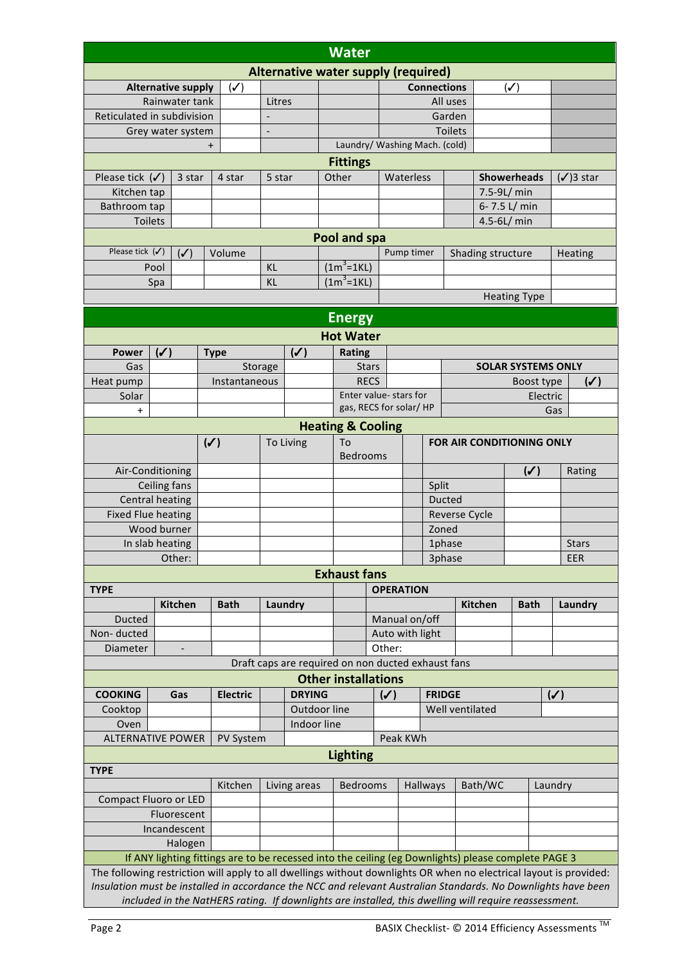| Water                                                                                                              |                                                     |                |                 |                                                                                                                                                                                                                        |                                       |  |                                                    |                                  |                      |               |                    |                   |                           |                |                |  |
|--------------------------------------------------------------------------------------------------------------------|-----------------------------------------------------|----------------|-----------------|------------------------------------------------------------------------------------------------------------------------------------------------------------------------------------------------------------------------|---------------------------------------|--|----------------------------------------------------|----------------------------------|----------------------|---------------|--------------------|-------------------|---------------------------|----------------|----------------|--|
| Alternative water supply (required)                                                                                |                                                     |                |                 |                                                                                                                                                                                                                        |                                       |  |                                                    |                                  |                      |               |                    |                   |                           |                |                |  |
| <b>Alternative supply</b>                                                                                          |                                                     |                | $(\checkmark)$  |                                                                                                                                                                                                                        |                                       |  |                                                    |                                  | <b>Connections</b>   |               |                    |                   | $(\checkmark)$            |                |                |  |
| Rainwater tank                                                                                                     |                                                     |                |                 | Litres                                                                                                                                                                                                                 |                                       |  |                                                    |                                  | All uses             |               |                    |                   |                           |                |                |  |
| Reticulated in subdivision                                                                                         |                                                     |                |                 |                                                                                                                                                                                                                        |                                       |  |                                                    | Garden                           |                      |               |                    |                   |                           |                |                |  |
| Grey water system                                                                                                  |                                                     |                |                 | $\overline{a}$                                                                                                                                                                                                         |                                       |  | Laundry/ Washing Mach. (cold)                      |                                  |                      |               | <b>Toilets</b>     |                   |                           |                |                |  |
|                                                                                                                    |                                                     |                | $\ddot{}$       |                                                                                                                                                                                                                        |                                       |  |                                                    |                                  |                      |               |                    |                   |                           |                |                |  |
|                                                                                                                    | 4 star                                              | 5 star         |                 |                                                                                                                                                                                                                        | <b>Fittings</b><br>Waterless<br>Other |  |                                                    |                                  |                      |               | <b>Showerheads</b> |                   | $(\checkmark)$ 3 star     |                |                |  |
|                                                                                                                    | Please tick $(\checkmark)$<br>3 star<br>Kitchen tap |                |                 |                                                                                                                                                                                                                        |                                       |  |                                                    |                                  |                      |               |                    | 7.5-9L/ min       |                           |                |                |  |
|                                                                                                                    | Bathroom tap                                        |                |                 |                                                                                                                                                                                                                        |                                       |  |                                                    |                                  |                      |               |                    |                   | 6-7.5 L/ min              |                |                |  |
| Toilets                                                                                                            |                                                     |                |                 |                                                                                                                                                                                                                        |                                       |  |                                                    |                                  |                      |               |                    | $4.5 - 6L/min$    |                           |                |                |  |
| Pool and spa                                                                                                       |                                                     |                |                 |                                                                                                                                                                                                                        |                                       |  |                                                    |                                  |                      |               |                    |                   |                           |                |                |  |
| Please tick $(\checkmark)$                                                                                         |                                                     | $(\checkmark)$ | Volume          |                                                                                                                                                                                                                        |                                       |  |                                                    |                                  | Pump timer           |               |                    | Shading structure |                           |                | Heating        |  |
|                                                                                                                    | Pool                                                |                | KL              |                                                                                                                                                                                                                        |                                       |  | $(1m^3=1KL)$                                       |                                  |                      |               |                    |                   |                           |                |                |  |
|                                                                                                                    | Spa                                                 |                |                 | <b>KL</b>                                                                                                                                                                                                              |                                       |  | $(1m^3=1KL)$                                       |                                  |                      |               |                    |                   |                           |                |                |  |
|                                                                                                                    |                                                     |                |                 |                                                                                                                                                                                                                        |                                       |  |                                                    |                                  |                      |               |                    |                   | <b>Heating Type</b>       |                |                |  |
|                                                                                                                    |                                                     |                |                 |                                                                                                                                                                                                                        |                                       |  |                                                    |                                  |                      |               |                    |                   |                           |                |                |  |
|                                                                                                                    |                                                     |                |                 |                                                                                                                                                                                                                        |                                       |  | <b>Energy</b>                                      |                                  |                      |               |                    |                   |                           |                |                |  |
|                                                                                                                    |                                                     |                |                 |                                                                                                                                                                                                                        |                                       |  | <b>Hot Water</b>                                   |                                  |                      |               |                    |                   |                           |                |                |  |
| <b>Power</b>                                                                                                       | $(\checkmark)$                                      |                | <b>Type</b>     |                                                                                                                                                                                                                        | $(\checkmark)$                        |  | Rating                                             |                                  |                      |               |                    |                   |                           |                |                |  |
| Gas                                                                                                                |                                                     |                |                 | Storage                                                                                                                                                                                                                |                                       |  | <b>Stars</b>                                       |                                  |                      |               |                    |                   | <b>SOLAR SYSTEMS ONLY</b> |                |                |  |
| Heat pump                                                                                                          |                                                     |                | Instantaneous   |                                                                                                                                                                                                                        |                                       |  | <b>RECS</b><br>Enter value- stars for              |                                  |                      |               |                    |                   | Boost type                |                | $(\checkmark)$ |  |
| Solar                                                                                                              |                                                     |                |                 |                                                                                                                                                                                                                        |                                       |  |                                                    |                                  |                      |               |                    |                   | Electric                  |                |                |  |
| gas, RECS for solar/HP<br>Gas<br>$\pmb{+}$<br><b>Heating &amp; Cooling</b>                                         |                                                     |                |                 |                                                                                                                                                                                                                        |                                       |  |                                                    |                                  |                      |               |                    |                   |                           |                |                |  |
|                                                                                                                    |                                                     |                |                 |                                                                                                                                                                                                                        |                                       |  |                                                    |                                  |                      |               |                    |                   |                           |                |                |  |
|                                                                                                                    | $(\checkmark)$                                      | To Living      |                 |                                                                                                                                                                                                                        | To<br><b>Bedrooms</b>                 |  |                                                    | <b>FOR AIR CONDITIONING ONLY</b> |                      |               |                    |                   |                           |                |                |  |
| Air-Conditioning                                                                                                   |                                                     |                |                 |                                                                                                                                                                                                                        |                                       |  |                                                    |                                  |                      |               | $(\checkmark)$     |                   | Rating                    |                |                |  |
| Ceiling fans                                                                                                       |                                                     |                |                 |                                                                                                                                                                                                                        |                                       |  |                                                    |                                  | Split                |               |                    |                   |                           |                |                |  |
| <b>Central heating</b>                                                                                             |                                                     |                |                 |                                                                                                                                                                                                                        |                                       |  |                                                    |                                  |                      |               | <b>Ducted</b>      |                   |                           |                |                |  |
| <b>Fixed Flue heating</b>                                                                                          |                                                     |                |                 |                                                                                                                                                                                                                        |                                       |  |                                                    |                                  | <b>Reverse Cycle</b> |               |                    |                   |                           |                |                |  |
| Wood burner                                                                                                        |                                                     |                |                 |                                                                                                                                                                                                                        |                                       |  |                                                    |                                  |                      | Zoned         |                    |                   |                           |                |                |  |
| In slab heating                                                                                                    |                                                     |                |                 |                                                                                                                                                                                                                        |                                       |  |                                                    |                                  |                      | 1phase        |                    |                   |                           |                | <b>Stars</b>   |  |
|                                                                                                                    |                                                     | Other:         |                 |                                                                                                                                                                                                                        |                                       |  |                                                    |                                  |                      |               | 3phase             |                   |                           |                | <b>EER</b>     |  |
|                                                                                                                    |                                                     |                |                 |                                                                                                                                                                                                                        |                                       |  | <b>Exhaust fans</b>                                |                                  |                      |               |                    |                   |                           |                |                |  |
| <b>TYPE</b>                                                                                                        |                                                     |                |                 |                                                                                                                                                                                                                        |                                       |  |                                                    |                                  | <b>OPERATION</b>     |               |                    |                   |                           |                |                |  |
|                                                                                                                    |                                                     | Kitchen        | <b>Bath</b>     |                                                                                                                                                                                                                        | Laundry                               |  |                                                    |                                  |                      |               |                    | Kitchen           | <b>Bath</b>               |                | Laundry        |  |
| Ducted                                                                                                             |                                                     |                |                 |                                                                                                                                                                                                                        |                                       |  |                                                    |                                  | Manual on/off        |               |                    |                   |                           |                |                |  |
| Non-ducted                                                                                                         |                                                     |                |                 |                                                                                                                                                                                                                        |                                       |  |                                                    |                                  | Auto with light      |               |                    |                   |                           |                |                |  |
| Diameter                                                                                                           |                                                     |                |                 |                                                                                                                                                                                                                        |                                       |  | Draft caps are required on non ducted exhaust fans |                                  | Other:               |               |                    |                   |                           |                |                |  |
|                                                                                                                    |                                                     |                |                 |                                                                                                                                                                                                                        |                                       |  | <b>Other installations</b>                         |                                  |                      |               |                    |                   |                           |                |                |  |
| <b>COOKING</b>                                                                                                     |                                                     | Gas            | <b>Electric</b> |                                                                                                                                                                                                                        | <b>DRYING</b>                         |  |                                                    |                                  | $(\checkmark)$       | <b>FRIDGE</b> |                    |                   |                           | $(\checkmark)$ |                |  |
| Cooktop                                                                                                            |                                                     |                |                 |                                                                                                                                                                                                                        | Outdoor line                          |  |                                                    |                                  |                      |               | Well ventilated    |                   |                           |                |                |  |
| Oven                                                                                                               |                                                     |                |                 |                                                                                                                                                                                                                        | Indoor line                           |  |                                                    |                                  |                      |               |                    |                   |                           |                |                |  |
| <b>ALTERNATIVE POWER</b>                                                                                           |                                                     |                | PV System       |                                                                                                                                                                                                                        |                                       |  |                                                    |                                  | Peak KWh             |               |                    |                   |                           |                |                |  |
|                                                                                                                    |                                                     |                |                 |                                                                                                                                                                                                                        |                                       |  | <b>Lighting</b>                                    |                                  |                      |               |                    |                   |                           |                |                |  |
| <b>TYPE</b>                                                                                                        |                                                     |                |                 |                                                                                                                                                                                                                        |                                       |  |                                                    |                                  |                      |               |                    |                   |                           |                |                |  |
|                                                                                                                    |                                                     |                | Kitchen         |                                                                                                                                                                                                                        |                                       |  | <b>Bedrooms</b>                                    |                                  |                      | Hallways      |                    | Bath/WC           |                           | Laundry        |                |  |
|                                                                                                                    |                                                     | Living areas   |                 |                                                                                                                                                                                                                        |                                       |  |                                                    |                                  |                      |               |                    |                   |                           |                |                |  |
|                                                                                                                    | <b>Compact Fluoro or LED</b><br>Fluorescent         |                |                 |                                                                                                                                                                                                                        |                                       |  |                                                    |                                  |                      |               |                    |                   |                           |                |                |  |
| Incandescent                                                                                                       |                                                     |                |                 |                                                                                                                                                                                                                        |                                       |  |                                                    |                                  |                      |               |                    |                   |                           |                |                |  |
| Halogen                                                                                                            |                                                     |                |                 |                                                                                                                                                                                                                        |                                       |  |                                                    |                                  |                      |               |                    |                   |                           |                |                |  |
| If ANY lighting fittings are to be recessed into the ceiling (eg Downlights) please complete PAGE 3                |                                                     |                |                 |                                                                                                                                                                                                                        |                                       |  |                                                    |                                  |                      |               |                    |                   |                           |                |                |  |
| The following restriction will apply to all dwellings without downlights OR when no electrical layout is provided: |                                                     |                |                 |                                                                                                                                                                                                                        |                                       |  |                                                    |                                  |                      |               |                    |                   |                           |                |                |  |
|                                                                                                                    |                                                     |                |                 |                                                                                                                                                                                                                        |                                       |  |                                                    |                                  |                      |               |                    |                   |                           |                |                |  |
|                                                                                                                    |                                                     |                |                 | Insulation must be installed in accordance the NCC and relevant Australian Standards. No Downlights have been<br>included in the NatHERS rating. If downlights are installed, this dwelling will require reassessment. |                                       |  |                                                    |                                  |                      |               |                    |                   |                           |                |                |  |

 $\mathbf{I}$